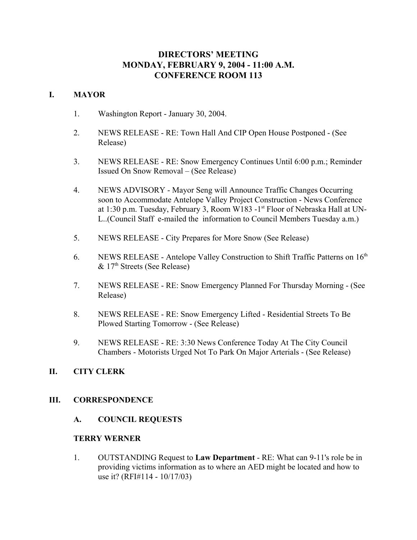# **DIRECTORS' MEETING MONDAY, FEBRUARY 9, 2004 - 11:00 A.M. CONFERENCE ROOM 113**

# **I. MAYOR**

- 1. Washington Report January 30, 2004.
- 2. NEWS RELEASE RE: Town Hall And CIP Open House Postponed (See Release)
- 3. NEWS RELEASE RE: Snow Emergency Continues Until 6:00 p.m.; Reminder Issued On Snow Removal – (See Release)
- 4. NEWS ADVISORY Mayor Seng will Announce Traffic Changes Occurring soon to Accommodate Antelope Valley Project Construction - News Conference at 1:30 p.m. Tuesday, February 3, Room W183 -1<sup>st</sup> Floor of Nebraska Hall at UN-L..(Council Staff e-mailed the information to Council Members Tuesday a.m.)
- 5. NEWS RELEASE City Prepares for More Snow (See Release)
- 6. NEWS RELEASE Antelope Valley Construction to Shift Traffic Patterns on  $16<sup>th</sup>$  $& 17<sup>th</sup>$  Streets (See Release)
- 7. NEWS RELEASE RE: Snow Emergency Planned For Thursday Morning (See Release)
- 8. NEWS RELEASE RE: Snow Emergency Lifted Residential Streets To Be Plowed Starting Tomorrow - (See Release)
- 9. NEWS RELEASE RE: 3:30 News Conference Today At The City Council Chambers - Motorists Urged Not To Park On Major Arterials - (See Release)

# **II. CITY CLERK**

# **III. CORRESPONDENCE**

# **A. COUNCIL REQUESTS**

# **TERRY WERNER**

1. OUTSTANDING Request to **Law Department** - RE: What can 9-11's role be in providing victims information as to where an AED might be located and how to use it? (RFI#114 - 10/17/03)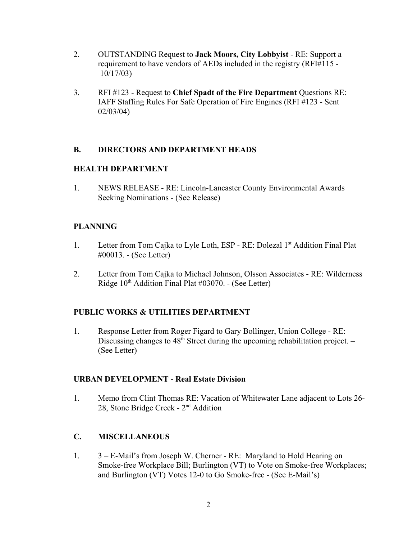- 2. OUTSTANDING Request to **Jack Moors, City Lobbyist** RE: Support a requirement to have vendors of AEDs included in the registry (RFI#115 - 10/17/03)
- 3. RFI #123 Request to **Chief Spadt of the Fire Department** Questions RE: IAFF Staffing Rules For Safe Operation of Fire Engines (RFI #123 - Sent 02/03/04)

# **B. DIRECTORS AND DEPARTMENT HEADS**

# **HEALTH DEPARTMENT**

1. NEWS RELEASE - RE: Lincoln-Lancaster County Environmental Awards Seeking Nominations - (See Release)

# **PLANNING**

- 1. Letter from Tom Cajka to Lyle Loth, ESP RE: Dolezal 1<sup>st</sup> Addition Final Plat #00013. - (See Letter)
- 2. Letter from Tom Cajka to Michael Johnson, Olsson Associates RE: Wilderness Ridge  $10<sup>th</sup>$  Addition Final Plat #03070. - (See Letter)

# **PUBLIC WORKS & UTILITIES DEPARTMENT**

1. Response Letter from Roger Figard to Gary Bollinger, Union College - RE: Discussing changes to  $48<sup>th</sup>$  Street during the upcoming rehabilitation project. – (See Letter)

# **URBAN DEVELOPMENT - Real Estate Division**

1. Memo from Clint Thomas RE: Vacation of Whitewater Lane adjacent to Lots 26- 28, Stone Bridge Creek - 2nd Addition

# **C. MISCELLANEOUS**

1. 3 – E-Mail's from Joseph W. Cherner - RE: Maryland to Hold Hearing on Smoke-free Workplace Bill; Burlington (VT) to Vote on Smoke-free Workplaces; and Burlington (VT) Votes 12-0 to Go Smoke-free - (See E-Mail's)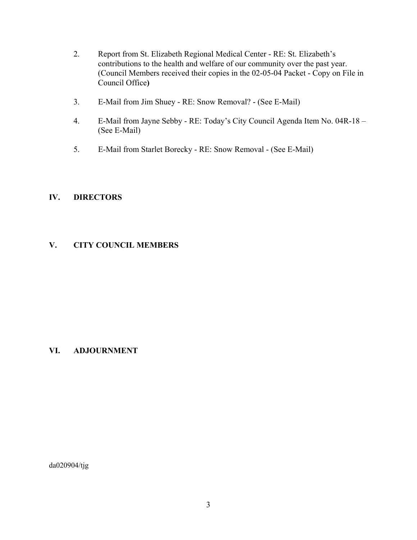- 2. Report from St. Elizabeth Regional Medical Center RE: St. Elizabeth's contributions to the health and welfare of our community over the past year. (Council Members received their copies in the 02-05-04 Packet - Copy on File in Council Office**)**
- 3. E-Mail from Jim Shuey RE: Snow Removal? (See E-Mail)
- 4. E-Mail from Jayne Sebby RE: Today's City Council Agenda Item No. 04R-18 (See E-Mail)
- 5. E-Mail from Starlet Borecky RE: Snow Removal (See E-Mail)

# **IV. DIRECTORS**

# **V. CITY COUNCIL MEMBERS**

# **VI. ADJOURNMENT**

da020904/tjg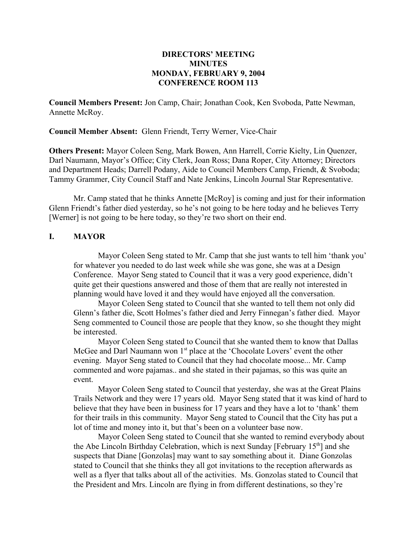# **DIRECTORS' MEETING MINUTES MONDAY, FEBRUARY 9, 2004 CONFERENCE ROOM 113**

**Council Members Present:** Jon Camp, Chair; Jonathan Cook, Ken Svoboda, Patte Newman, Annette McRoy.

**Council Member Absent:** Glenn Friendt, Terry Werner, Vice-Chair

**Others Present:** Mayor Coleen Seng, Mark Bowen, Ann Harrell, Corrie Kielty, Lin Quenzer, Darl Naumann, Mayor's Office; City Clerk, Joan Ross; Dana Roper, City Attorney; Directors and Department Heads; Darrell Podany, Aide to Council Members Camp, Friendt, & Svoboda; Tammy Grammer, City Council Staff and Nate Jenkins, Lincoln Journal Star Representative.

Mr. Camp stated that he thinks Annette [McRoy] is coming and just for their information Glenn Friendt's father died yesterday, so he's not going to be here today and he believes Terry [Werner] is not going to be here today, so they're two short on their end.

# **I. MAYOR**

Mayor Coleen Seng stated to Mr. Camp that she just wants to tell him 'thank you' for whatever you needed to do last week while she was gone, she was at a Design Conference. Mayor Seng stated to Council that it was a very good experience, didn't quite get their questions answered and those of them that are really not interested in planning would have loved it and they would have enjoyed all the conversation.

 Mayor Coleen Seng stated to Council that she wanted to tell them not only did Glenn's father die, Scott Holmes's father died and Jerry Finnegan's father died. Mayor Seng commented to Council those are people that they know, so she thought they might be interested.

Mayor Coleen Seng stated to Council that she wanted them to know that Dallas McGee and Darl Naumann won 1<sup>st</sup> place at the 'Chocolate Lovers' event the other evening. Mayor Seng stated to Council that they had chocolate moose... Mr. Camp commented and wore pajamas.. and she stated in their pajamas, so this was quite an event.

Mayor Coleen Seng stated to Council that yesterday, she was at the Great Plains Trails Network and they were 17 years old. Mayor Seng stated that it was kind of hard to believe that they have been in business for 17 years and they have a lot to 'thank' them for their trails in this community. Mayor Seng stated to Council that the City has put a lot of time and money into it, but that's been on a volunteer base now.

Mayor Coleen Seng stated to Council that she wanted to remind everybody about the Abe Lincoln Birthday Celebration, which is next Sunday [February 15<sup>th</sup>] and she suspects that Diane [Gonzolas] may want to say something about it. Diane Gonzolas stated to Council that she thinks they all got invitations to the reception afterwards as well as a flyer that talks about all of the activities. Ms. Gonzolas stated to Council that the President and Mrs. Lincoln are flying in from different destinations, so they're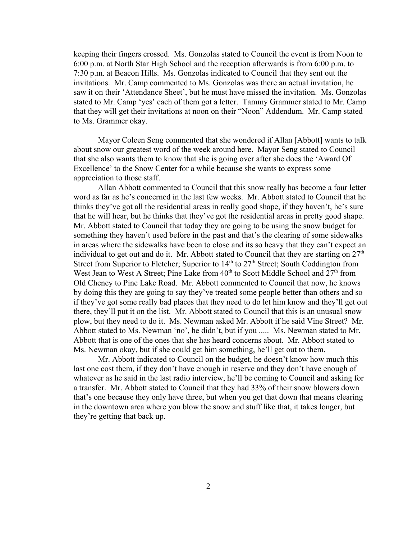keeping their fingers crossed. Ms. Gonzolas stated to Council the event is from Noon to 6:00 p.m. at North Star High School and the reception afterwards is from 6:00 p.m. to 7:30 p.m. at Beacon Hills. Ms. Gonzolas indicated to Council that they sent out the invitations. Mr. Camp commented to Ms. Gonzolas was there an actual invitation, he saw it on their 'Attendance Sheet', but he must have missed the invitation. Ms. Gonzolas stated to Mr. Camp 'yes' each of them got a letter. Tammy Grammer stated to Mr. Camp that they will get their invitations at noon on their "Noon" Addendum. Mr. Camp stated to Ms. Grammer okay.

Mayor Coleen Seng commented that she wondered if Allan [Abbott] wants to talk about snow our greatest word of the week around here. Mayor Seng stated to Council that she also wants them to know that she is going over after she does the 'Award Of Excellence' to the Snow Center for a while because she wants to express some appreciation to those staff.

Allan Abbott commented to Council that this snow really has become a four letter word as far as he's concerned in the last few weeks. Mr. Abbott stated to Council that he thinks they've got all the residential areas in really good shape, if they haven't, he's sure that he will hear, but he thinks that they've got the residential areas in pretty good shape. Mr. Abbott stated to Council that today they are going to be using the snow budget for something they haven't used before in the past and that's the clearing of some sidewalks in areas where the sidewalks have been to close and its so heavy that they can't expect an individual to get out and do it. Mr. Abbott stated to Council that they are starting on  $27<sup>th</sup>$ Street from Superior to Fletcher; Superior to  $14<sup>th</sup>$  to  $27<sup>th</sup>$  Street; South Coddington from West Jean to West A Street; Pine Lake from  $40<sup>th</sup>$  to Scott Middle School and  $27<sup>th</sup>$  from Old Cheney to Pine Lake Road. Mr. Abbott commented to Council that now, he knows by doing this they are going to say they've treated some people better than others and so if they've got some really bad places that they need to do let him know and they'll get out there, they'll put it on the list. Mr. Abbott stated to Council that this is an unusual snow plow, but they need to do it. Ms. Newman asked Mr. Abbott if he said Vine Street? Mr. Abbott stated to Ms. Newman 'no', he didn't, but if you ..... Ms. Newman stated to Mr. Abbott that is one of the ones that she has heard concerns about. Mr. Abbott stated to Ms. Newman okay, but if she could get him something, he'll get out to them.

Mr. Abbott indicated to Council on the budget, he doesn't know how much this last one cost them, if they don't have enough in reserve and they don't have enough of whatever as he said in the last radio interview, he'll be coming to Council and asking for a transfer. Mr. Abbott stated to Council that they had 33% of their snow blowers down that's one because they only have three, but when you get that down that means clearing in the downtown area where you blow the snow and stuff like that, it takes longer, but they're getting that back up.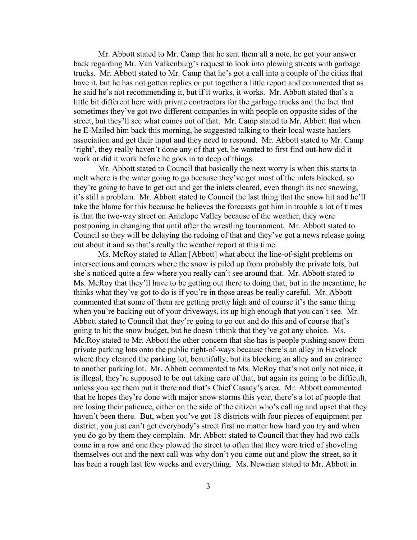Mr. Abbott stated to Mr. Camp that he sent them all a note, he got your answer back regarding Mr. Van Valkenburg's request to look into plowing streets with garbage trucks. Mr. Abbott stated to Mr. Camp that he's got a call into a couple of the cities that have it, but he has not gotten replies or put together a little report and commented that as he said he's not recommending it, but if it works, it works. Mr. Abbott stated that's a little bit different here with private contractors for the garbage trucks and the fact that sometimes they've got two different companies in with people on opposite sides of the street, but they'll see what comes out of that. Mr. Camp stated to Mr. Abbott that when he E-Mailed him back this morning, he suggested talking to their local waste haulers association and get their input and they need to respond. Mr. Abbott stated to Mr. Camp 'right', they really haven't done any of that yet, he wanted to first find out-how did it work or did it work before he goes in to deep of things.

Mr. Abbott stated to Council that basically the next worry is when this starts to melt where is the water going to go because they've got most of the inlets blocked, so they're going to have to get out and get the inlets cleared, even though its not snowing, it's still a problem. Mr. Abbott stated to Council the last thing that the snow hit and he'll take the blame for this because he believes the forecasts got him in trouble a lot of times is that the two-way street on Antelope Valley because of the weather, they were postponing in changing that until after the wrestling tournament. Mr. Abbott stated to Council so they will be delaying the redoing of that and they've got a news release going out about it and so that's really the weather report at this time.

Ms. McRoy stated to Allan [Abbott] what about the line-of-sight problems on intersections and corners where the snow is piled up from probably the private lots, but she's noticed quite a few where you really can't see around that. Mr. Abbott stated to Ms. McRoy that they'll have to be getting out there to doing that, but in the meantime, he thinks what they've got to do is if you're in those areas be really careful. Mr. Abbott commented that some of them are getting pretty high and of course it's the same thing when you're backing out of your driveways, its up high enough that you can't see. Mr. Abbott stated to Council that they're going to go out and do this and of course that's going to hit the snow budget, but he doesn't think that they've got any choice. Ms. Mc.Roy stated to Mr. Abbott the other concern that she has is people pushing snow from private parking lots onto the public right-of-ways because there's an alley in Havelock where they cleaned the parking lot, beautifully, but its blocking an alley and an entrance to another parking lot. Mr. Abbott commented to Ms. McRoy that's not only not nice, it is illegal, they're supposed to be out taking care of that, but again its going to be difficult, unless you see them put it there and that's Chief Casady's area. Mr. Abbott commented that he hopes they're done with major snow storms this year, there's a lot of people that are losing their patience, either on the side of the citizen who's calling and upset that they haven't been there. But, when you've got 18 districts with four pieces of equipment per district, you just can't get everybody's street first no matter how hard you try and when you do go by them they complain. Mr. Abbott stated to Council that they had two calls come in a row and one they plowed the street to often that they were tried of shoveling themselves out and the next call was why don't you come out and plow the street, so it has been a rough last few weeks and everything. Ms. Newman stated to Mr. Abbott in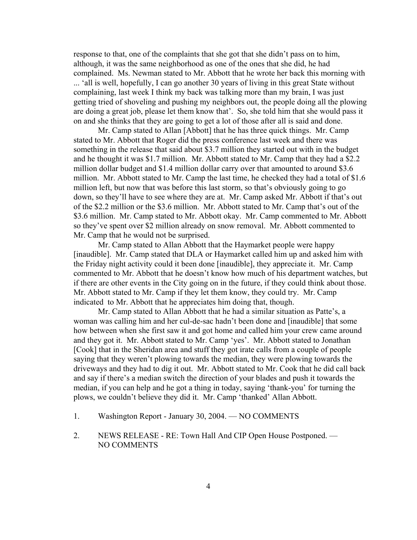response to that, one of the complaints that she got that she didn't pass on to him, although, it was the same neighborhood as one of the ones that she did, he had complained. Ms. Newman stated to Mr. Abbott that he wrote her back this morning with ... 'all is well, hopefully, I can go another 30 years of living in this great State without complaining, last week I think my back was talking more than my brain, I was just getting tried of shoveling and pushing my neighbors out, the people doing all the plowing are doing a great job, please let them know that'. So, she told him that she would pass it on and she thinks that they are going to get a lot of those after all is said and done.

Mr. Camp stated to Allan [Abbott] that he has three quick things. Mr. Camp stated to Mr. Abbott that Roger did the press conference last week and there was something in the release that said about \$3.7 million they started out with in the budget and he thought it was \$1.7 million. Mr. Abbott stated to Mr. Camp that they had a \$2.2 million dollar budget and \$1.4 million dollar carry over that amounted to around \$3.6 million. Mr. Abbott stated to Mr. Camp the last time, he checked they had a total of \$1.6 million left, but now that was before this last storm, so that's obviously going to go down, so they'll have to see where they are at. Mr. Camp asked Mr. Abbott if that's out of the \$2.2 million or the \$3.6 million. Mr. Abbott stated to Mr. Camp that's out of the \$3.6 million. Mr. Camp stated to Mr. Abbott okay. Mr. Camp commented to Mr. Abbott so they've spent over \$2 million already on snow removal. Mr. Abbott commented to Mr. Camp that he would not be surprised.

Mr. Camp stated to Allan Abbott that the Haymarket people were happy [inaudible]. Mr. Camp stated that DLA or Haymarket called him up and asked him with the Friday night activity could it been done [inaudible], they appreciate it. Mr. Camp commented to Mr. Abbott that he doesn't know how much of his department watches, but if there are other events in the City going on in the future, if they could think about those. Mr. Abbott stated to Mr. Camp if they let them know, they could try. Mr. Camp indicated to Mr. Abbott that he appreciates him doing that, though.

 Mr. Camp stated to Allan Abbott that he had a similar situation as Patte's, a woman was calling him and her cul-de-sac hadn't been done and [inaudible] that some how between when she first saw it and got home and called him your crew came around and they got it. Mr. Abbott stated to Mr. Camp 'yes'. Mr. Abbott stated to Jonathan [Cook] that in the Sheridan area and stuff they got irate calls from a couple of people saying that they weren't plowing towards the median, they were plowing towards the driveways and they had to dig it out. Mr. Abbott stated to Mr. Cook that he did call back and say if there's a median switch the direction of your blades and push it towards the median, if you can help and he got a thing in today, saying 'thank-you' for turning the plows, we couldn't believe they did it. Mr. Camp 'thanked' Allan Abbott.

- 1. Washington Report January 30, 2004. NO COMMENTS
- 2. NEWS RELEASE RE: Town Hall And CIP Open House Postponed. NO COMMENTS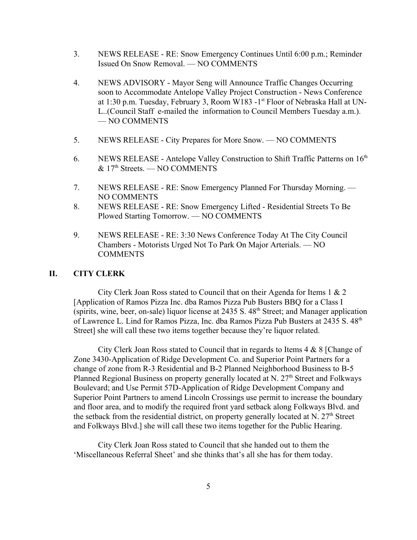- 3. NEWS RELEASE RE: Snow Emergency Continues Until 6:00 p.m.; Reminder Issued On Snow Removal. — NO COMMENTS
- 4. NEWS ADVISORY Mayor Seng will Announce Traffic Changes Occurring soon to Accommodate Antelope Valley Project Construction - News Conference at 1:30 p.m. Tuesday, February 3, Room W183 -1<sup>st</sup> Floor of Nebraska Hall at UN-L..(Council Staff e-mailed the information to Council Members Tuesday a.m.). — NO COMMENTS
- 5. NEWS RELEASE City Prepares for More Snow. NO COMMENTS
- 6. NEWS RELEASE Antelope Valley Construction to Shift Traffic Patterns on  $16<sup>th</sup>$ & 17th Streets. — NO COMMENTS
- 7. NEWS RELEASE RE: Snow Emergency Planned For Thursday Morning. NO COMMENTS
- 8. NEWS RELEASE RE: Snow Emergency Lifted Residential Streets To Be Plowed Starting Tomorrow. — NO COMMENTS
- 9. NEWS RELEASE RE: 3:30 News Conference Today At The City Council Chambers - Motorists Urged Not To Park On Major Arterials. — NO COMMENTS

# **II. CITY CLERK**

City Clerk Joan Ross stated to Council that on their Agenda for Items 1 & 2 [Application of Ramos Pizza Inc. dba Ramos Pizza Pub Busters BBQ for a Class I (spirits, wine, beer, on-sale) liquor license at  $2435$  S.  $48<sup>th</sup>$  Street; and Manager application of Lawrence L. Lind for Ramos Pizza, Inc. dba Ramos Pizza Pub Busters at 2435 S. 48<sup>th</sup> Street] she will call these two items together because they're liquor related.

City Clerk Joan Ross stated to Council that in regards to Items 4 & 8 [Change of Zone 3430-Application of Ridge Development Co. and Superior Point Partners for a change of zone from R-3 Residential and B-2 Planned Neighborhood Business to B-5 Planned Regional Business on property generally located at N. 27<sup>th</sup> Street and Folkways Boulevard; and Use Permit 57D-Application of Ridge Development Company and Superior Point Partners to amend Lincoln Crossings use permit to increase the boundary and floor area, and to modify the required front yard setback along Folkways Blvd. and the setback from the residential district, on property generally located at N.  $27<sup>th</sup>$  Street and Folkways Blvd.] she will call these two items together for the Public Hearing.

City Clerk Joan Ross stated to Council that she handed out to them the 'Miscellaneous Referral Sheet' and she thinks that's all she has for them today.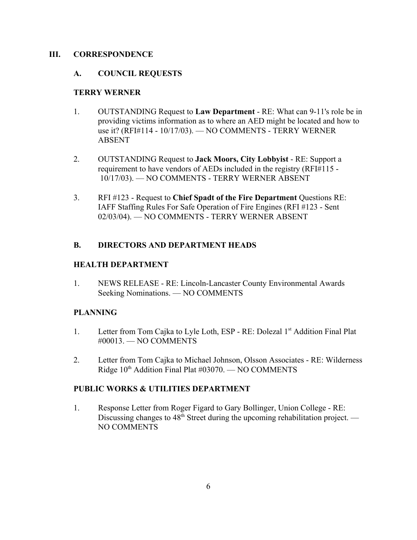### **III. CORRESPONDENCE**

#### **A. COUNCIL REQUESTS**

#### **TERRY WERNER**

- 1. OUTSTANDING Request to **Law Department** RE: What can 9-11's role be in providing victims information as to where an AED might be located and how to use it? (RFI#114 - 10/17/03). — NO COMMENTS - TERRY WERNER ABSENT
- 2. OUTSTANDING Request to **Jack Moors, City Lobbyist** RE: Support a requirement to have vendors of AEDs included in the registry (RFI#115 - 10/17/03). — NO COMMENTS - TERRY WERNER ABSENT
- 3. RFI #123 Request to **Chief Spadt of the Fire Department** Questions RE: IAFF Staffing Rules For Safe Operation of Fire Engines (RFI #123 - Sent 02/03/04). — NO COMMENTS - TERRY WERNER ABSENT

# **B. DIRECTORS AND DEPARTMENT HEADS**

# **HEALTH DEPARTMENT**

1. NEWS RELEASE - RE: Lincoln-Lancaster County Environmental Awards Seeking Nominations. — NO COMMENTS

# **PLANNING**

- 1. Letter from Tom Cajka to Lyle Loth, ESP RE: Dolezal 1<sup>st</sup> Addition Final Plat #00013. — NO COMMENTS
- 2. Letter from Tom Cajka to Michael Johnson, Olsson Associates RE: Wilderness Ridge  $10<sup>th</sup>$  Addition Final Plat #03070. — NO COMMENTS

# **PUBLIC WORKS & UTILITIES DEPARTMENT**

1. Response Letter from Roger Figard to Gary Bollinger, Union College - RE: Discussing changes to  $48<sup>th</sup>$  Street during the upcoming rehabilitation project. — NO COMMENTS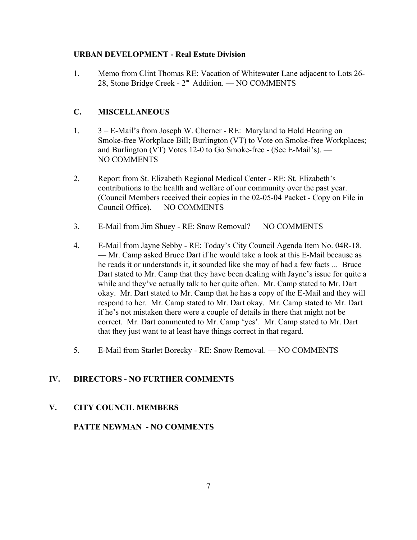# **URBAN DEVELOPMENT - Real Estate Division**

1. Memo from Clint Thomas RE: Vacation of Whitewater Lane adjacent to Lots 26- 28, Stone Bridge Creek - 2nd Addition. — NO COMMENTS

# **C. MISCELLANEOUS**

- 1. 3 E-Mail's from Joseph W. Cherner RE: Maryland to Hold Hearing on Smoke-free Workplace Bill; Burlington (VT) to Vote on Smoke-free Workplaces; and Burlington (VT) Votes 12-0 to Go Smoke-free - (See E-Mail's). — NO COMMENTS
- 2. Report from St. Elizabeth Regional Medical Center RE: St. Elizabeth's contributions to the health and welfare of our community over the past year. (Council Members received their copies in the 02-05-04 Packet - Copy on File in Council Office). — NO COMMENTS
- 3. E-Mail from Jim Shuey RE: Snow Removal? NO COMMENTS
- 4. E-Mail from Jayne Sebby RE: Today's City Council Agenda Item No. 04R-18. — Mr. Camp asked Bruce Dart if he would take a look at this E-Mail because as he reads it or understands it, it sounded like she may of had a few facts ... Bruce Dart stated to Mr. Camp that they have been dealing with Jayne's issue for quite a while and they've actually talk to her quite often. Mr. Camp stated to Mr. Dart okay. Mr. Dart stated to Mr. Camp that he has a copy of the E-Mail and they will respond to her. Mr. Camp stated to Mr. Dart okay. Mr. Camp stated to Mr. Dart if he's not mistaken there were a couple of details in there that might not be correct. Mr. Dart commented to Mr. Camp 'yes'. Mr. Camp stated to Mr. Dart that they just want to at least have things correct in that regard.
- 5. E-Mail from Starlet Borecky RE: Snow Removal. NO COMMENTS

# **IV. DIRECTORS - NO FURTHER COMMENTS**

# **V. CITY COUNCIL MEMBERS**

# **PATTE NEWMAN - NO COMMENTS**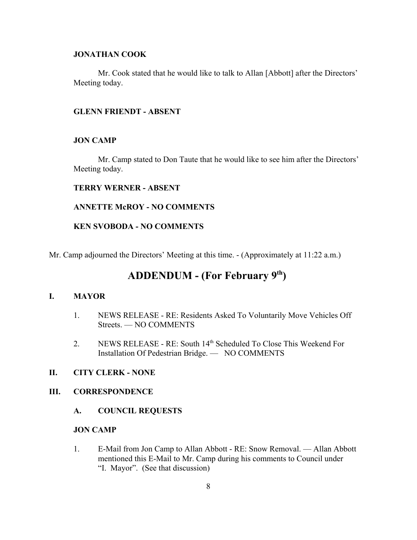# **JONATHAN COOK**

Mr. Cook stated that he would like to talk to Allan [Abbott] after the Directors' Meeting today.

#### **GLENN FRIENDT - ABSENT**

#### **JON CAMP**

Mr. Camp stated to Don Taute that he would like to see him after the Directors' Meeting today.

#### **TERRY WERNER - ABSENT**

#### **ANNETTE McROY - NO COMMENTS**

#### **KEN SVOBODA - NO COMMENTS**

Mr. Camp adjourned the Directors' Meeting at this time. - (Approximately at 11:22 a.m.)

# **ADDENDUM - (For February 9th)**

#### **I. MAYOR**

- 1. NEWS RELEASE RE: Residents Asked To Voluntarily Move Vehicles Off Streets. — NO COMMENTS
- 2. NEWS RELEASE RE: South 14th Scheduled To Close This Weekend For Installation Of Pedestrian Bridge. — NO COMMENTS

# **II. CITY CLERK - NONE**

#### **III. CORRESPONDENCE**

#### **A. COUNCIL REQUESTS**

#### **JON CAMP**

1. E-Mail from Jon Camp to Allan Abbott - RE: Snow Removal. — Allan Abbott mentioned this E-Mail to Mr. Camp during his comments to Council under "I. Mayor". (See that discussion)